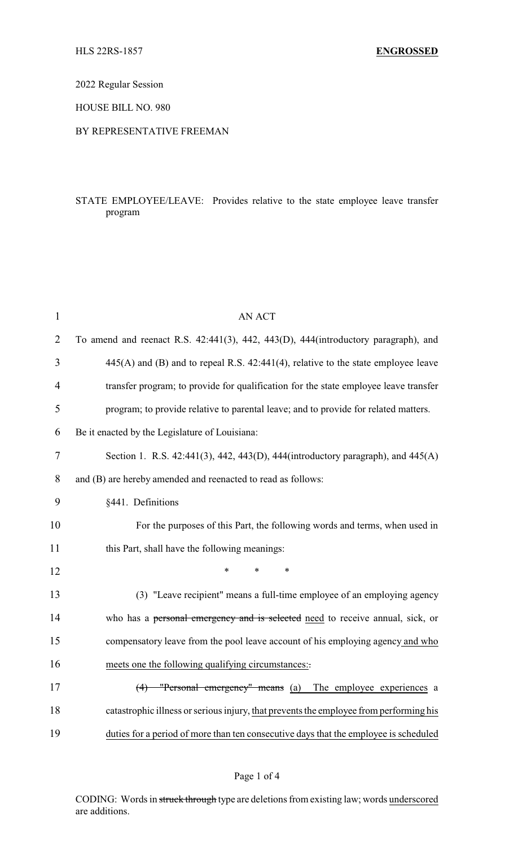2022 Regular Session

HOUSE BILL NO. 980

### BY REPRESENTATIVE FREEMAN

## STATE EMPLOYEE/LEAVE: Provides relative to the state employee leave transfer program

| $\mathbf{1}$   | <b>AN ACT</b>                                                                          |
|----------------|----------------------------------------------------------------------------------------|
| $\overline{2}$ | To amend and reenact R.S. 42:441(3), 442, 443(D), 444(introductory paragraph), and     |
| 3              | $445(A)$ and (B) and to repeal R.S. $42:441(4)$ , relative to the state employee leave |
| 4              | transfer program; to provide for qualification for the state employee leave transfer   |
| 5              | program; to provide relative to parental leave; and to provide for related matters.    |
| 6              | Be it enacted by the Legislature of Louisiana:                                         |
| $\tau$         | Section 1. R.S. 42:441(3), 442, 443(D), 444(introductory paragraph), and $445(A)$      |
| 8              | and (B) are hereby amended and reenacted to read as follows:                           |
| 9              | §441. Definitions                                                                      |
| 10             | For the purposes of this Part, the following words and terms, when used in             |
| 11             | this Part, shall have the following meanings:                                          |
| 12             | *<br>$\ast$                                                                            |
| 13             | (3) "Leave recipient" means a full-time employee of an employing agency                |
| 14             | who has a personal emergency and is selected need to receive annual, sick, or          |
| 15             | compensatory leave from the pool leave account of his employing agency and who         |
| 16             | meets one the following qualifying circumstances:                                      |
| 17             | (4) "Personal emergency" means (a) The employee experiences a                          |
| 18             | catastrophic illness or serious injury, that prevents the employee from performing his |
| 19             | duties for a period of more than ten consecutive days that the employee is scheduled   |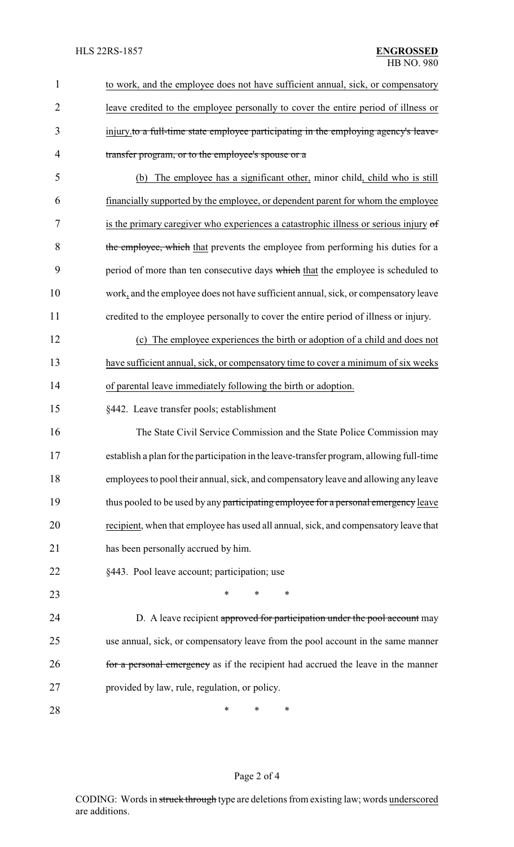| $\mathbf{1}$   | to work, and the employee does not have sufficient annual, sick, or compensatory         |
|----------------|------------------------------------------------------------------------------------------|
| $\overline{2}$ | leave credited to the employee personally to cover the entire period of illness or       |
| 3              | injury to a full-time state employee participating in the employing agency's leave-      |
| 4              | transfer program, or to the employee's spouse or a                                       |
| 5              | The employee has a significant other, minor child, child who is still<br>(b)             |
| 6              | financially supported by the employee, or dependent parent for whom the employee         |
| 7              | is the primary caregiver who experiences a catastrophic illness or serious injury of     |
| 8              | the employee, which that prevents the employee from performing his duties for a          |
| 9              | period of more than ten consecutive days which that the employee is scheduled to         |
| 10             | work, and the employee does not have sufficient annual, sick, or compensatory leave      |
| 11             | credited to the employee personally to cover the entire period of illness or injury.     |
| 12             | (c) The employee experiences the birth or adoption of a child and does not               |
| 13             | have sufficient annual, sick, or compensatory time to cover a minimum of six weeks       |
| 14             | of parental leave immediately following the birth or adoption.                           |
| 15             | §442. Leave transfer pools; establishment                                                |
| 16             | The State Civil Service Commission and the State Police Commission may                   |
| 17             | establish a plan for the participation in the leave-transfer program, allowing full-time |
| 18             | employees to pool their annual, sick, and compensatory leave and allowing any leave      |
| 19             | thus pooled to be used by any participating employee for a personal emergency leave      |
| 20             | recipient, when that employee has used all annual, sick, and compensatory leave that     |
| 21             | has been personally accrued by him.                                                      |
| 22             | §443. Pool leave account; participation; use                                             |
| 23             | *<br>*<br>∗                                                                              |
| 24             | D. A leave recipient approved for participation under the pool account may               |
| 25             | use annual, sick, or compensatory leave from the pool account in the same manner         |
| 26             | for a personal emergency as if the recipient had accrued the leave in the manner         |
| 27             | provided by law, rule, regulation, or policy.                                            |
| 28             | ∗<br>∗<br>∗                                                                              |

# Page 2 of 4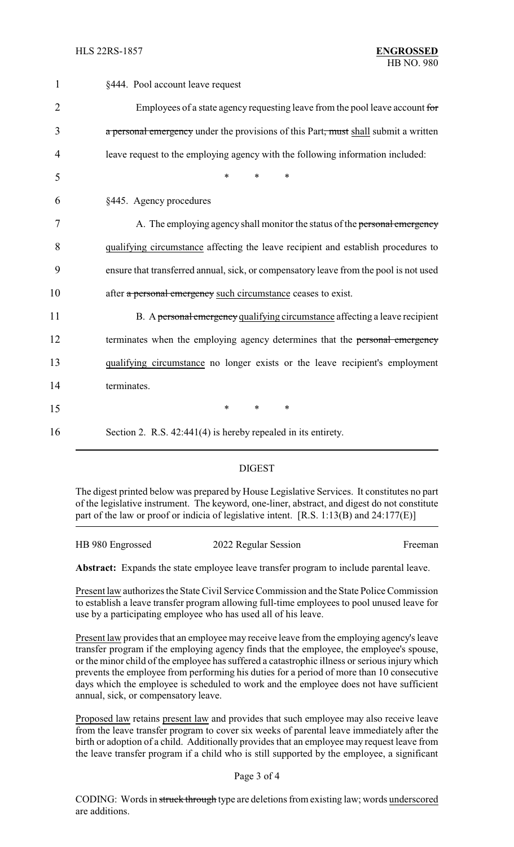| $\mathbf{1}$   | §444. Pool account leave request                                                      |
|----------------|---------------------------------------------------------------------------------------|
| $\overline{2}$ | Employees of a state agency requesting leave from the pool leave account for          |
| 3              | a personal emergency under the provisions of this Part, must shall submit a written   |
| 4              | leave request to the employing agency with the following information included:        |
| 5              | $\ast$<br>$\ast$<br>$\ast$                                                            |
| 6              | §445. Agency procedures                                                               |
| 7              | A. The employing agency shall monitor the status of the personal emergency            |
| 8              | qualifying circumstance affecting the leave recipient and establish procedures to     |
| 9              | ensure that transferred annual, sick, or compensatory leave from the pool is not used |
| 10             | after a personal emergency such circumstance ceases to exist.                         |
| 11             | B. A personal emergency qualifying circumstance affecting a leave recipient           |
| 12             | terminates when the employing agency determines that the personal emergency           |
| 13             | qualifying circumstance no longer exists or the leave recipient's employment          |
| 14             | terminates.                                                                           |
| 15             | $\ast$<br>$\ast$<br>$\ast$                                                            |
| 16             | Section 2. R.S. 42:441(4) is hereby repealed in its entirety.                         |

### DIGEST

The digest printed below was prepared by House Legislative Services. It constitutes no part of the legislative instrument. The keyword, one-liner, abstract, and digest do not constitute part of the law or proof or indicia of legislative intent. [R.S. 1:13(B) and 24:177(E)]

| HB 980 Engrossed | 2022 Regular Session | Freeman |
|------------------|----------------------|---------|
|                  |                      |         |

**Abstract:** Expands the state employee leave transfer program to include parental leave.

Present law authorizes the State Civil Service Commission and the State Police Commission to establish a leave transfer program allowing full-time employees to pool unused leave for use by a participating employee who has used all of his leave.

Present law provides that an employee may receive leave from the employing agency's leave transfer program if the employing agency finds that the employee, the employee's spouse, or the minor child of the employee has suffered a catastrophic illness or serious injury which prevents the employee from performing his duties for a period of more than 10 consecutive days which the employee is scheduled to work and the employee does not have sufficient annual, sick, or compensatory leave.

Proposed law retains present law and provides that such employee may also receive leave from the leave transfer program to cover six weeks of parental leave immediately after the birth or adoption of a child. Additionally provides that an employee may request leave from the leave transfer program if a child who is still supported by the employee, a significant

#### Page 3 of 4

CODING: Words in struck through type are deletions from existing law; words underscored are additions.